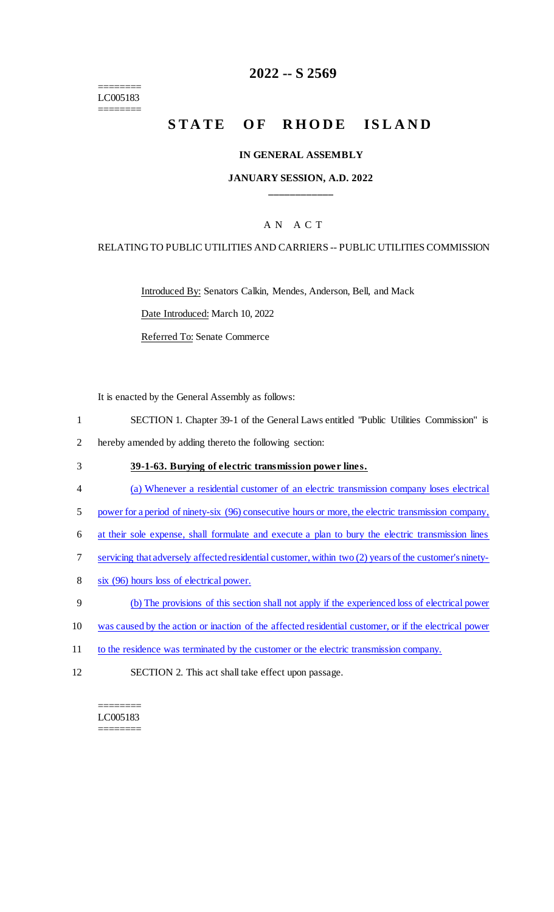======== LC005183 ========

## **2022 -- S 2569**

# **STATE OF RHODE ISLAND**

#### **IN GENERAL ASSEMBLY**

#### **JANUARY SESSION, A.D. 2022 \_\_\_\_\_\_\_\_\_\_\_\_**

## A N A C T

#### RELATING TO PUBLIC UTILITIES AND CARRIERS -- PUBLIC UTILITIES COMMISSION

Introduced By: Senators Calkin, Mendes, Anderson, Bell, and Mack

Date Introduced: March 10, 2022

Referred To: Senate Commerce

It is enacted by the General Assembly as follows:

- 1 SECTION 1. Chapter 39-1 of the General Laws entitled "Public Utilities Commission" is
- 2 hereby amended by adding thereto the following section:
- 3 **39-1-63. Burying of electric transmission power lines.**
- 4 (a) Whenever a residential customer of an electric transmission company loses electrical
- 5 power for a period of ninety-six (96) consecutive hours or more, the electric transmission company,
- 6 at their sole expense, shall formulate and execute a plan to bury the electric transmission lines
- 7 servicing that adversely affected residential customer, within two (2) years of the customer's ninety-
- 8 six (96) hours loss of electrical power.
- 9 (b) The provisions of this section shall not apply if the experienced loss of electrical power
- 10 was caused by the action or inaction of the affected residential customer, or if the electrical power
- 11 to the residence was terminated by the customer or the electric transmission company.
- 12 SECTION 2. This act shall take effect upon passage.

======== LC005183 ========